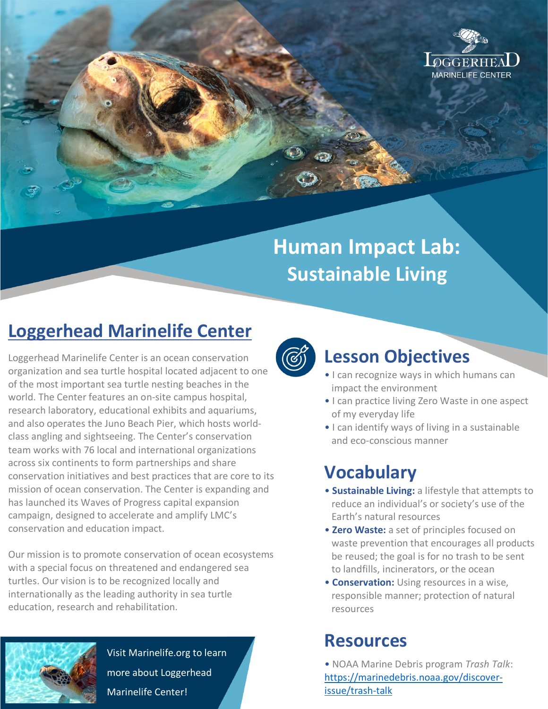

# **Human Impact Lab: Sustainable Living**

## **Loggerhead Marinelife Center**

Loggerhead Marinelife Center is an ocean conservation organization and sea turtle hospital located adjacent to one of the most important sea turtle nesting beaches in the world. The Center features an on-site campus hospital, research laboratory, educational exhibits and aquariums, and also operates the Juno Beach Pier, which hosts worldclass angling and sightseeing. The Center's conservation team works with 76 local and international organizations across six continents to form partnerships and share conservation initiatives and best practices that are core to its mission of ocean conservation. The Center is expanding and has launched its Waves of Progress capital expansion campaign, designed to accelerate and amplify LMC's conservation and education impact.

Our mission is to promote conservation of ocean ecosystems with a special focus on threatened and endangered sea turtles. Our vision is to be recognized locally and internationally as the leading authority in sea turtle education, research and rehabilitation.



Visit Marinelife.org to learn more about Loggerhead Marinelife Center!



### **Lesson Objectives**

- I can recognize ways in which humans can impact the environment
- I can practice living Zero Waste in one aspect of my everyday life
- I can identify ways of living in a sustainable and eco-conscious manner

### **Vocabulary**

- **Sustainable Living:** a lifestyle that attempts to reduce an individual's or society's use of the Earth's natural resources
- **Zero Waste:** a set of principles focused on waste prevention that encourages all products be reused; the goal is for no trash to be sent to landfills, incinerators, or the ocean
- **Conservation:** Using resources in a wise, responsible manner; protection of natural resources

### **Resources**

• NOAA Marine Debris program *Trash Talk*: https://marinedebris.noaa.gov/discoverissue/trash-talk